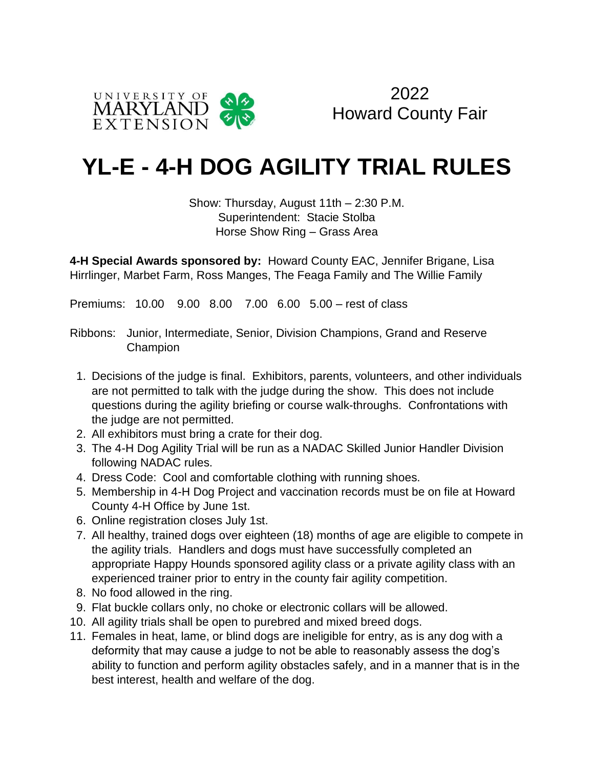



## **YL-E - 4-H DOG AGILITY TRIAL RULES**

Show: Thursday, August 11th – 2:30 P.M. Superintendent: Stacie Stolba Horse Show Ring – Grass Area

**4-H Special Awards sponsored by:** Howard County EAC, Jennifer Brigane, Lisa Hirrlinger, Marbet Farm, Ross Manges, The Feaga Family and The Willie Family

Premiums: 10.00 9.00 8.00 7.00 6.00 5.00 – rest of class

Ribbons: Junior, Intermediate, Senior, Division Champions, Grand and Reserve Champion

- 1. Decisions of the judge is final. Exhibitors, parents, volunteers, and other individuals are not permitted to talk with the judge during the show. This does not include questions during the agility briefing or course walk-throughs. Confrontations with the judge are not permitted.
- 2. All exhibitors must bring a crate for their dog.
- 3. The 4-H Dog Agility Trial will be run as a NADAC Skilled Junior Handler Division following NADAC rules.
- 4. Dress Code: Cool and comfortable clothing with running shoes.
- 5. Membership in 4-H Dog Project and vaccination records must be on file at Howard County 4-H Office by June 1st.
- 6. Online registration closes July 1st.
- 7. All healthy, trained dogs over eighteen (18) months of age are eligible to compete in the agility trials. Handlers and dogs must have successfully completed an appropriate Happy Hounds sponsored agility class or a private agility class with an experienced trainer prior to entry in the county fair agility competition.
- 8. No food allowed in the ring.
- 9. Flat buckle collars only, no choke or electronic collars will be allowed.
- 10. All agility trials shall be open to purebred and mixed breed dogs.
- 11. Females in heat, lame, or blind dogs are ineligible for entry, as is any dog with a deformity that may cause a judge to not be able to reasonably assess the dog's ability to function and perform agility obstacles safely, and in a manner that is in the best interest, health and welfare of the dog.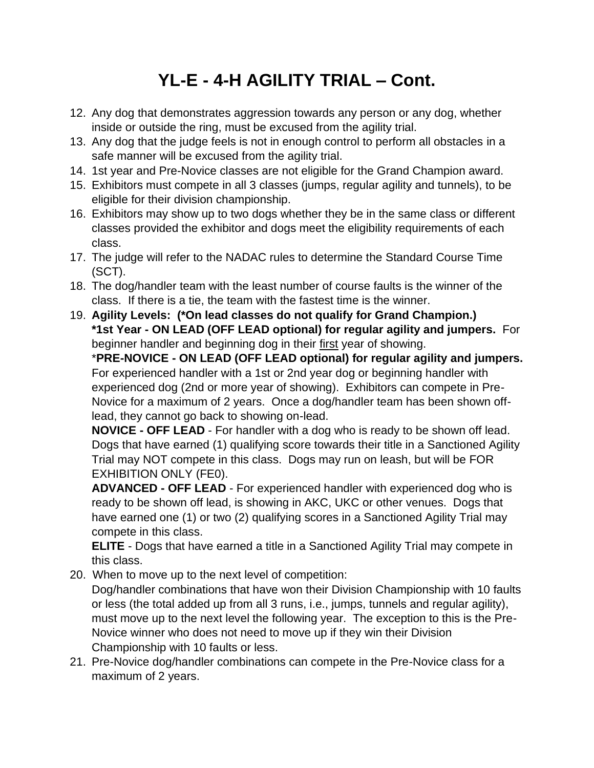## **YL-E - 4-H AGILITY TRIAL – Cont.**

- 12. Any dog that demonstrates aggression towards any person or any dog, whether inside or outside the ring, must be excused from the agility trial.
- 13. Any dog that the judge feels is not in enough control to perform all obstacles in a safe manner will be excused from the agility trial.
- 14. 1st year and Pre-Novice classes are not eligible for the Grand Champion award.
- 15. Exhibitors must compete in all 3 classes (jumps, regular agility and tunnels), to be eligible for their division championship.
- 16. Exhibitors may show up to two dogs whether they be in the same class or different classes provided the exhibitor and dogs meet the eligibility requirements of each class.
- 17. The judge will refer to the NADAC rules to determine the Standard Course Time (SCT).
- 18. The dog/handler team with the least number of course faults is the winner of the class. If there is a tie, the team with the fastest time is the winner.
- 19. **Agility Levels: (\*On lead classes do not qualify for Grand Champion.) \*1st Year - ON LEAD (OFF LEAD optional) for regular agility and jumpers.** For beginner handler and beginning dog in their first year of showing.

\***PRE-NOVICE - ON LEAD (OFF LEAD optional) for regular agility and jumpers.**  For experienced handler with a 1st or 2nd year dog or beginning handler with experienced dog (2nd or more year of showing). Exhibitors can compete in Pre-Novice for a maximum of 2 years. Once a dog/handler team has been shown offlead, they cannot go back to showing on-lead.

**NOVICE - OFF LEAD** - For handler with a dog who is ready to be shown off lead. Dogs that have earned (1) qualifying score towards their title in a Sanctioned Agility Trial may NOT compete in this class. Dogs may run on leash, but will be FOR EXHIBITION ONLY (FE0).

**ADVANCED - OFF LEAD** - For experienced handler with experienced dog who is ready to be shown off lead, is showing in AKC, UKC or other venues. Dogs that have earned one (1) or two (2) qualifying scores in a Sanctioned Agility Trial may compete in this class.

**ELITE** - Dogs that have earned a title in a Sanctioned Agility Trial may compete in this class.

20. When to move up to the next level of competition:

Dog/handler combinations that have won their Division Championship with 10 faults or less (the total added up from all 3 runs, i.e., jumps, tunnels and regular agility), must move up to the next level the following year. The exception to this is the Pre-Novice winner who does not need to move up if they win their Division Championship with 10 faults or less.

21. Pre-Novice dog/handler combinations can compete in the Pre-Novice class for a maximum of 2 years.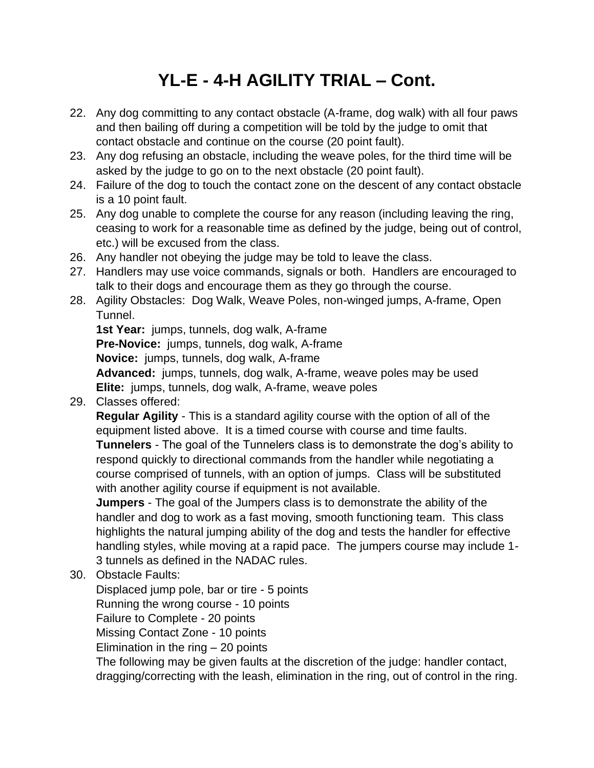## **YL-E - 4-H AGILITY TRIAL – Cont.**

- 22. Any dog committing to any contact obstacle (A-frame, dog walk) with all four paws and then bailing off during a competition will be told by the judge to omit that contact obstacle and continue on the course (20 point fault).
- 23. Any dog refusing an obstacle, including the weave poles, for the third time will be asked by the judge to go on to the next obstacle (20 point fault).
- 24. Failure of the dog to touch the contact zone on the descent of any contact obstacle is a 10 point fault.
- 25. Any dog unable to complete the course for any reason (including leaving the ring, ceasing to work for a reasonable time as defined by the judge, being out of control, etc.) will be excused from the class.
- 26. Any handler not obeying the judge may be told to leave the class.
- 27. Handlers may use voice commands, signals or both. Handlers are encouraged to talk to their dogs and encourage them as they go through the course.
- 28. Agility Obstacles: Dog Walk, Weave Poles, non-winged jumps, A-frame, Open Tunnel.

**1st Year:** jumps, tunnels, dog walk, A-frame **Pre-Novice:** jumps, tunnels, dog walk, A-frame **Novice:** jumps, tunnels, dog walk, A-frame **Advanced:** jumps, tunnels, dog walk, A-frame, weave poles may be used **Elite:** jumps, tunnels, dog walk, A-frame, weave poles

29. Classes offered:

**Regular Agility** - This is a standard agility course with the option of all of the equipment listed above. It is a timed course with course and time faults. **Tunnelers** - The goal of the Tunnelers class is to demonstrate the dog's ability to respond quickly to directional commands from the handler while negotiating a course comprised of tunnels, with an option of jumps. Class will be substituted with another agility course if equipment is not available.

**Jumpers** - The goal of the Jumpers class is to demonstrate the ability of the handler and dog to work as a fast moving, smooth functioning team. This class highlights the natural jumping ability of the dog and tests the handler for effective handling styles, while moving at a rapid pace. The jumpers course may include 1- 3 tunnels as defined in the NADAC rules.

30. Obstacle Faults:

Displaced jump pole, bar or tire - 5 points Running the wrong course - 10 points Failure to Complete - 20 points Missing Contact Zone - 10 points Elimination in the ring – 20 points

The following may be given faults at the discretion of the judge: handler contact, dragging/correcting with the leash, elimination in the ring, out of control in the ring.